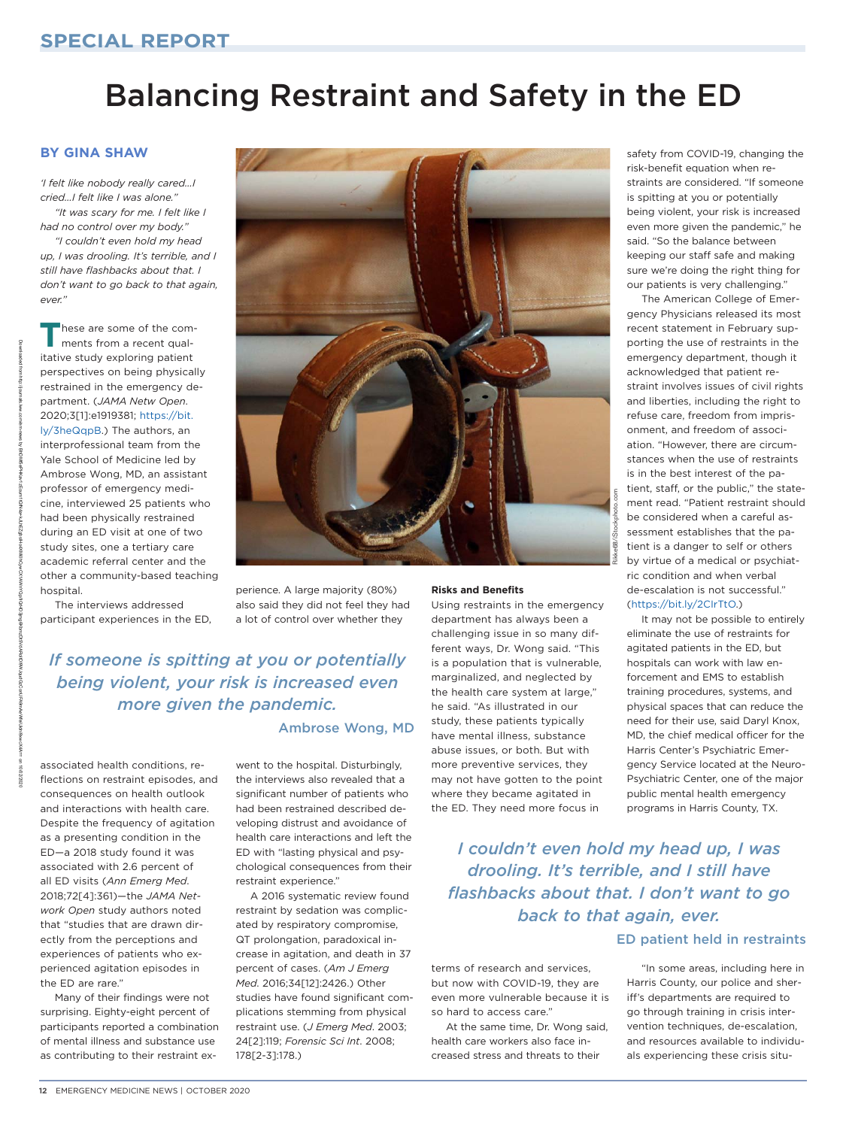# Balancing Restraint and Safety in the ED

## **By Gina Shaw**

*'I felt like nobody really cared…I cried…I felt like I was alone." "It was scary for me. I felt like I* 

*had no control over my body." "I couldn't even hold my head up, I was drooling. It's terrible, and I still have flashbacks about that. I don't want to go back to that again, ever."*

**T**hese are some of the comments from a recent qualitative study exploring patient perspectives on being physically restrained in the emergency department. (*JAMA Netw Open*. 2020;3[1]:e1919381; [https://bit.](https://bit.ly/3heQqpB) [ly/3heQqpB.](https://bit.ly/3heQqpB)) The authors, an interprofessional team from the Yale School of Medicine led by Ambrose Wong, MD, an assistant professor of emergency medicine, interviewed 25 patients who had been physically restrained during an ED visit at one of two study sites, one a tertiary care academic referral center and the other a community-based teaching hospital.

The interviews addressed participant experiences in the ED,



perience. A large majority (80%) also said they did not feel they had a lot of control over whether they

# *If someone is spitting at you or potentially being violent, your risk is increased even more given the pandemic.*

### Ambrose Wong, MD

associated health conditions, reflections on restraint episodes, and consequences on health outlook and interactions with health care. Despite the frequency of agitation as a presenting condition in the ED—a 2018 study found it was associated with 2.6 percent of all ED visits (*Ann Emerg Med*. 2018;72[4]:361)—the *JAMA Network Open* study authors noted that "studies that are drawn directly from the perceptions and experiences of patients who experienced agitation episodes in the ED are rare."

Many of their findings were not surprising. Eighty-eight percent of participants reported a combination of mental illness and substance use as contributing to their restraint ex-

went to the hospital. Disturbingly, the interviews also revealed that a significant number of patients who had been restrained described developing distrust and avoidance of health care interactions and left the ED with "lasting physical and psychological consequences from their restraint experience."

A 2016 systematic review found restraint by sedation was complicated by respiratory compromise, QT prolongation, paradoxical increase in agitation, and death in 37 percent of cases. (*Am J Emerg Med*. 2016;34[12]:2426.) Other studies have found significant complications stemming from physical restraint use. (*J Emerg Med*. 2003; 24[2]:119; *Forensic Sci Int*. 2008; 178[2-3]:178.)

#### **Risks and Benefits**

Using restraints in the emergency department has always been a challenging issue in so many different ways, Dr. Wong said. "This is a population that is vulnerable, marginalized, and neglected by the health care system at large," he said. "As illustrated in our study, these patients typically have mental illness, substance abuse issues, or both. But with more preventive services, they may not have gotten to the point where they became agitated in the ED. They need more focus in

*I couldn't even hold my head up, I was drooling. It's terrible, and I still have flashbacks about that. I don't want to go back to that again, ever.*

## ED patient held in restraints

terms of research and services, but now with COVID-19, they are even more vulnerable because it is so hard to access care."

At the same time, Dr. Wong said, health care workers also face increased stress and threats to their

safety from COVID-19, changing the risk-benefit equation when restraints are considered. "If someone is spitting at you or potentially being violent, your risk is increased even more given the pandemic," he said. "So the balance between keeping our staff safe and making sure we're doing the right thing for our patients is very challenging."

The American College of Emergency Physicians released its most recent statement in February supporting the use of restraints in the emergency department, though it acknowledged that patient restraint involves issues of civil rights and liberties, including the right to refuse care, freedom from imprisonment, and freedom of association. "However, there are circumstances when the use of restraints is in the best interest of the patient, staff, or the public," the statement read. "Patient restraint should be considered when a careful assessment establishes that the patient is a danger to self or others by virtue of a medical or psychiatric condition and when verbal de-escalation is not successful." [\(https://bit.ly/2CIrTtO.](https://bit.ly/2CIrTtO))

It may not be possible to entirely eliminate the use of restraints for agitated patients in the ED, but hospitals can work with law enforcement and EMS to establish training procedures, systems, and physical spaces that can reduce the need for their use, said Daryl Knox, MD, the chief medical officer for the Harris Center's Psychiatric Emergency Service located at the Neuro-Psychiatric Center, one of the major public mental health emergency programs in Harris County, TX.

"In some areas, including here in Harris County, our police and sheriff's departments are required to go through training in crisis intervention techniques, de-escalation, and resources available to individuals experiencing these crisis situ-